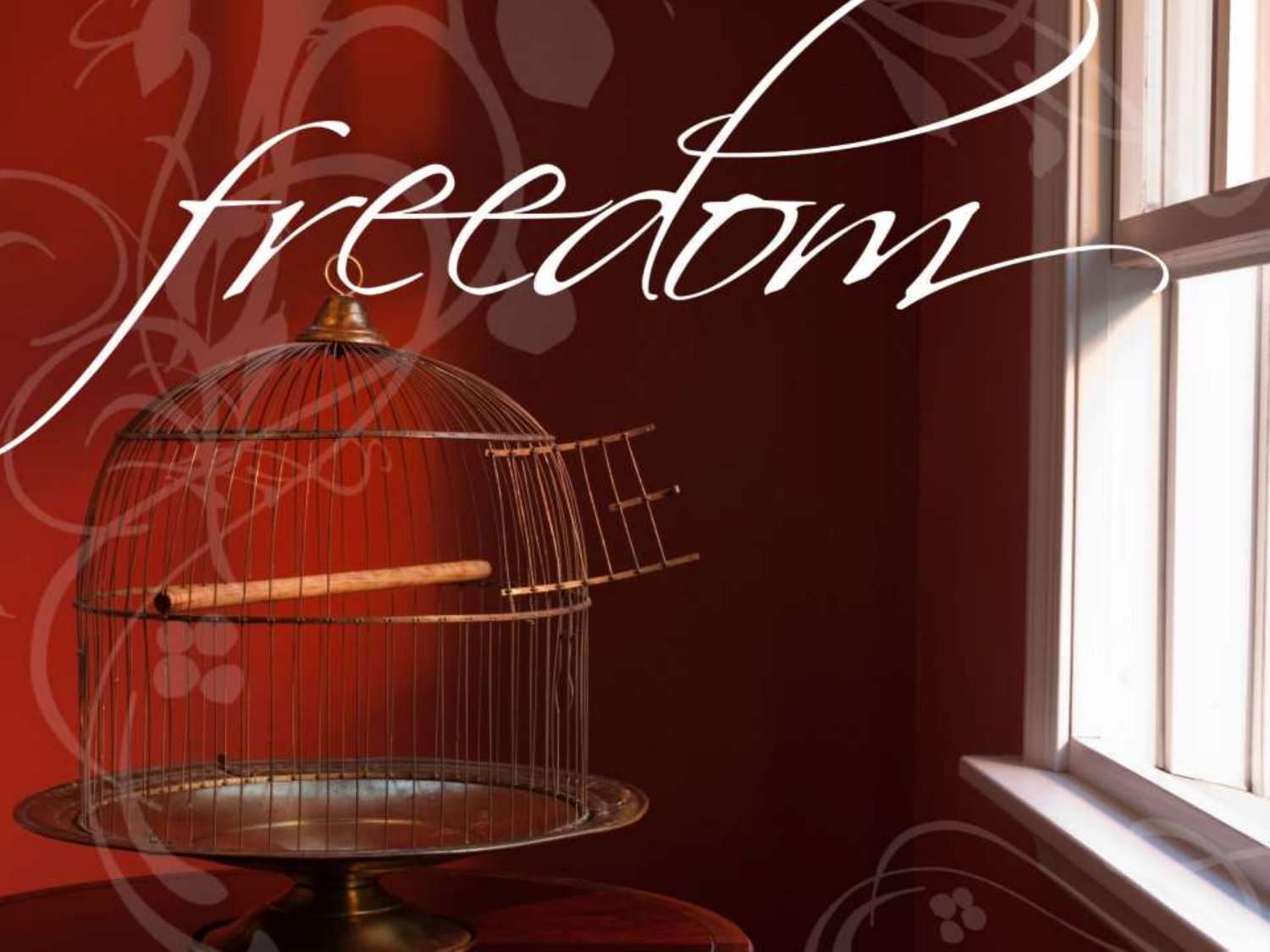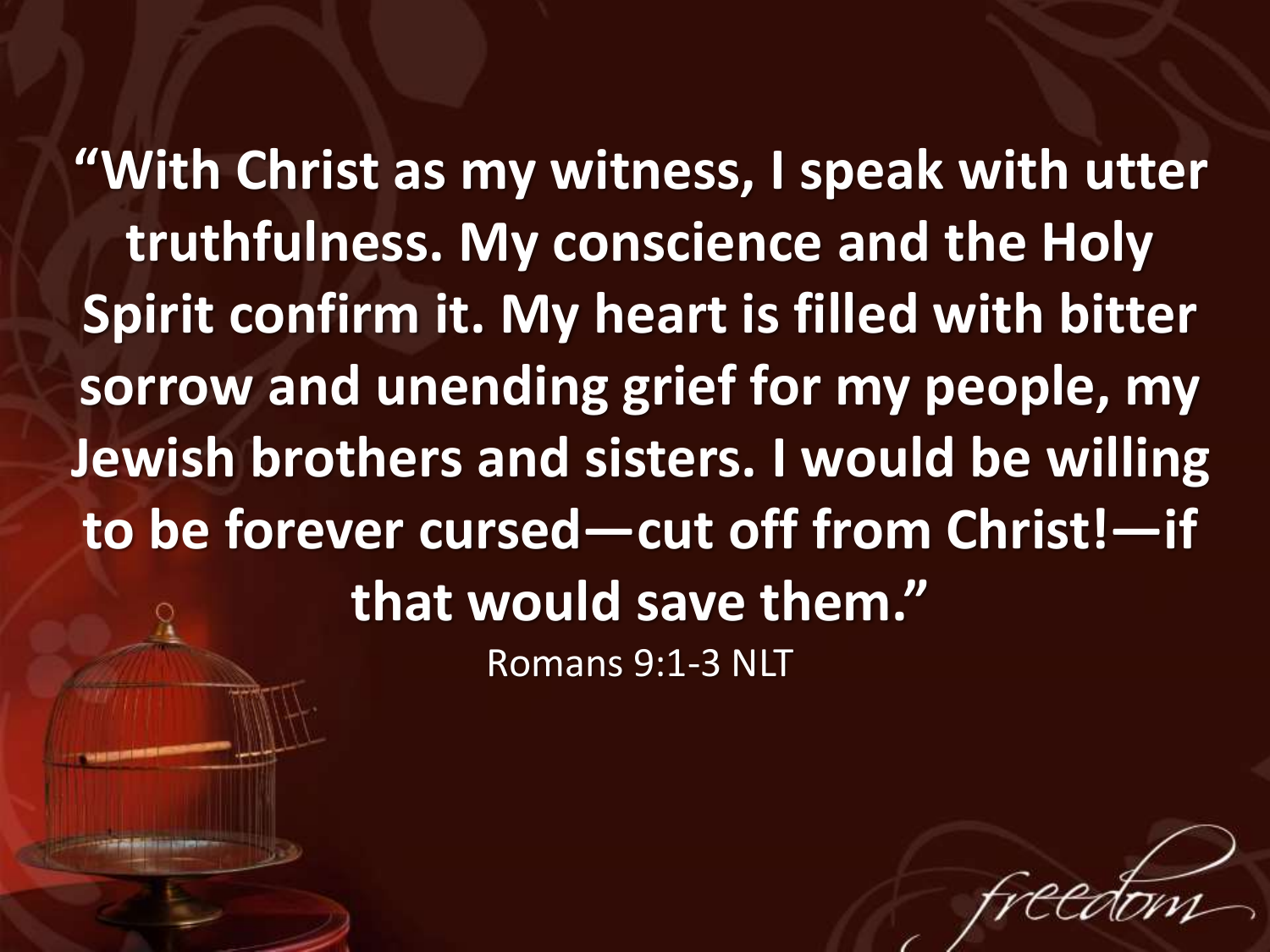**"With Christ as my witness, I speak with utter truthfulness. My conscience and the Holy Spirit confirm it. My heart is filled with bitter sorrow and unending grief for my people, my Jewish brothers and sisters. I would be willing to be forever cursed—cut off from Christ!—if that would save them."** Romans 9:1-3 NLT

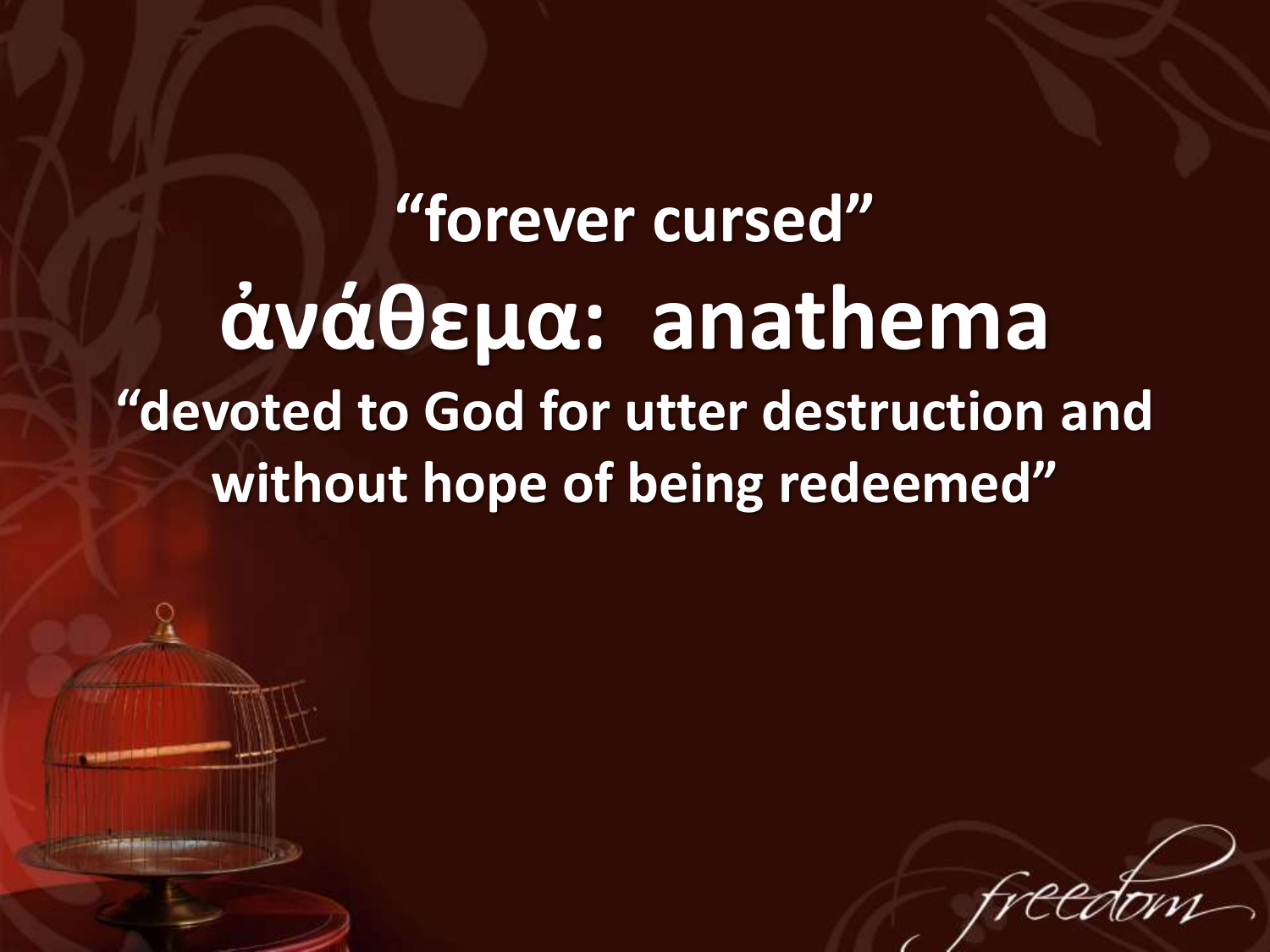**"forever cursed" ἀνάθεμα: anathema "devoted to God for utter destruction and without hope of being redeemed"**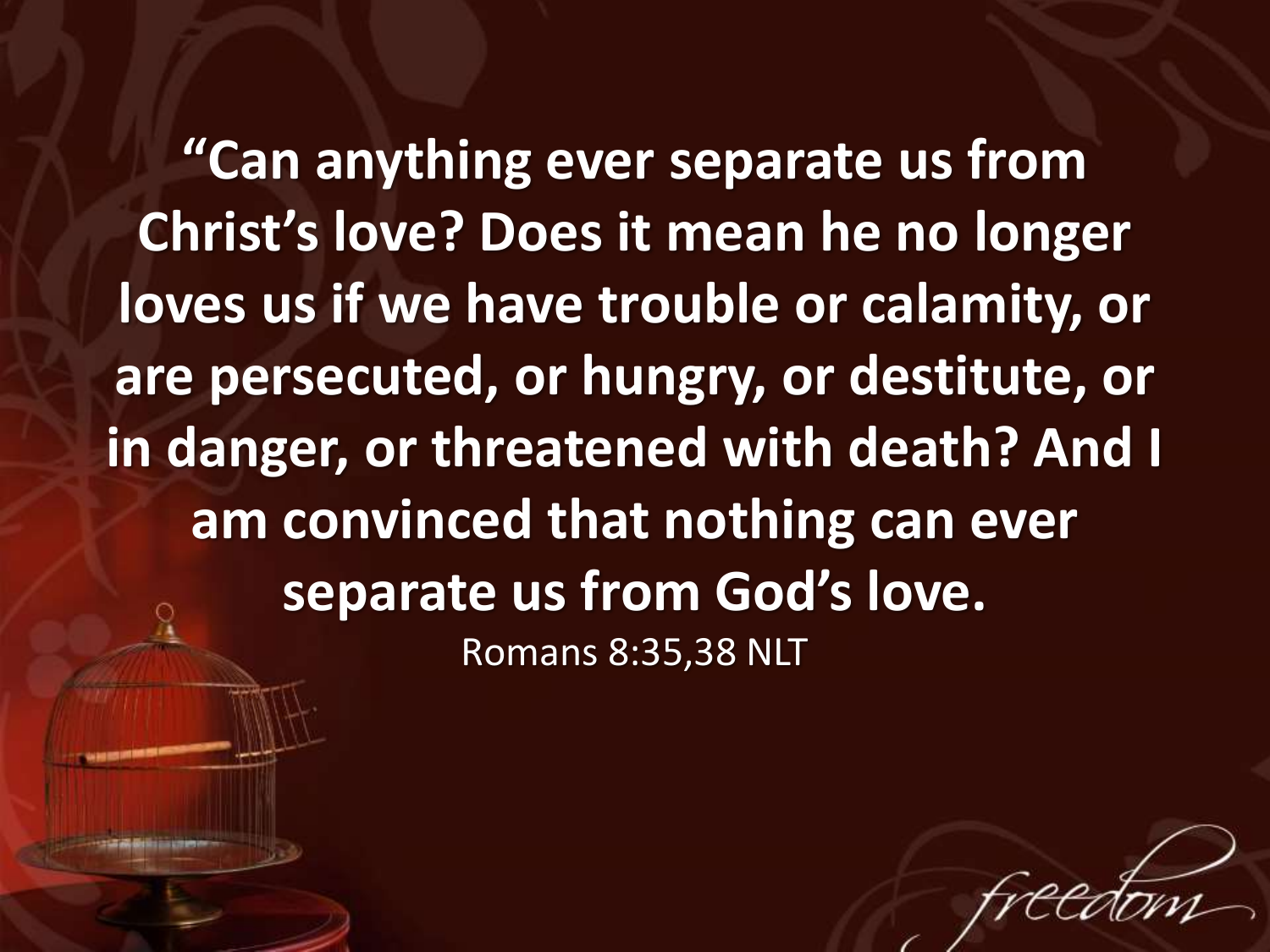**"Can anything ever separate us from Christ's love? Does it mean he no longer loves us if we have trouble or calamity, or are persecuted, or hungry, or destitute, or in danger, or threatened with death? And I am convinced that nothing can ever separate us from God's love.** Romans 8:35,38 NLT

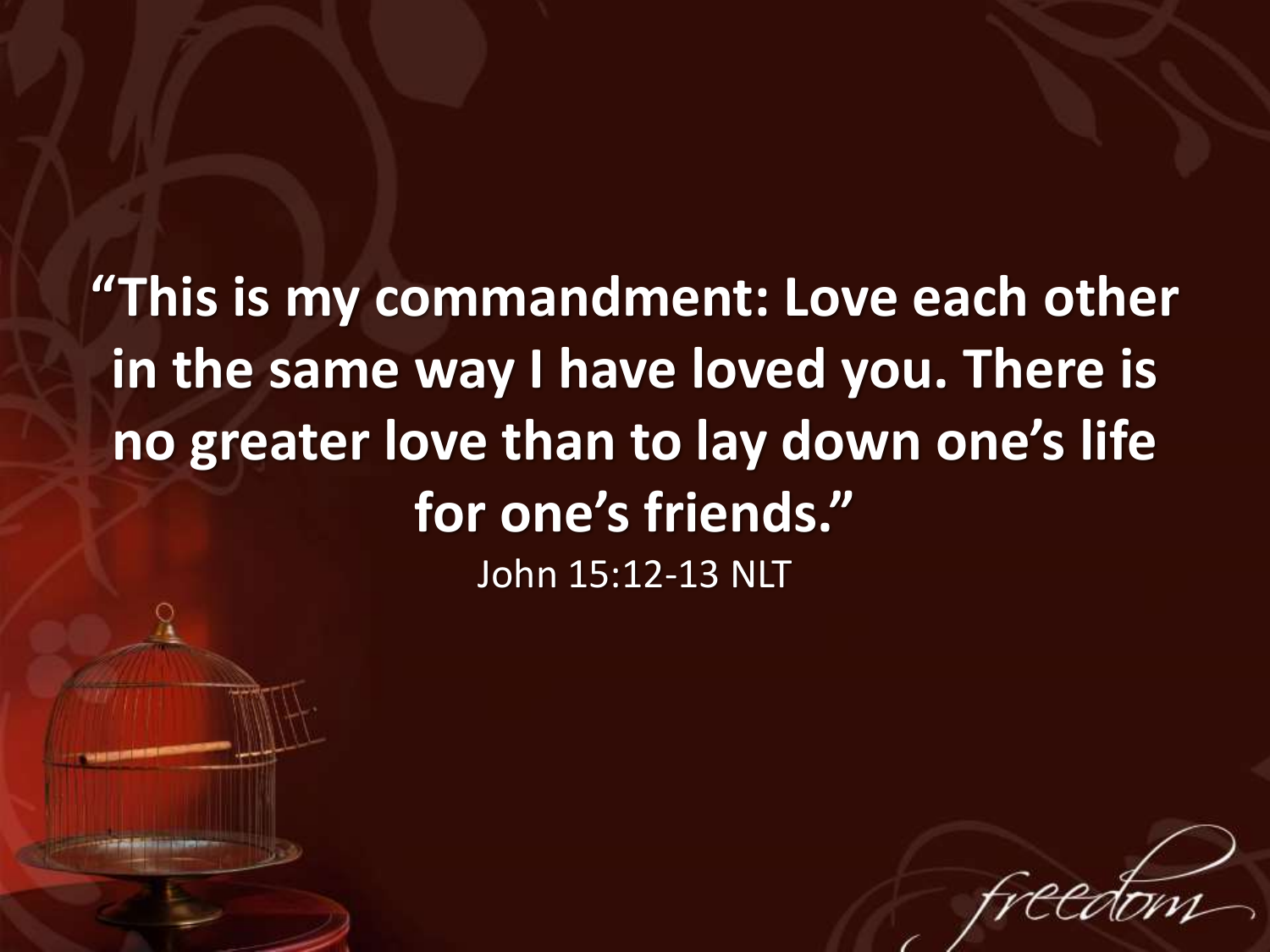**"This is my commandment: Love each other in the same way I have loved you. There is no greater love than to lay down one's life for one's friends."**  John 15:12-13 NLT

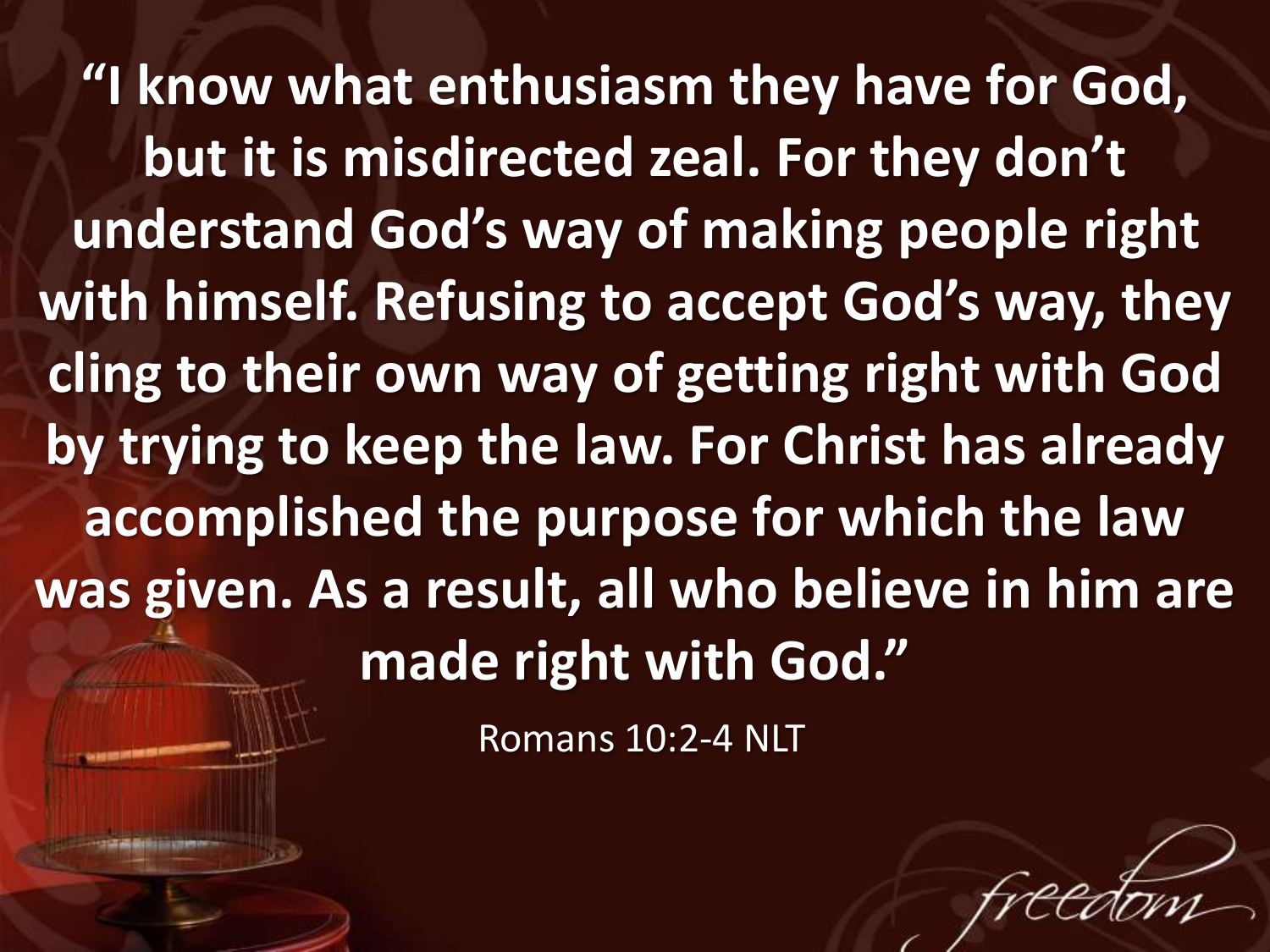**"I know what enthusiasm they have for God, but it is misdirected zeal. For they don't understand God's way of making people right with himself. Refusing to accept God's way, they cling to their own way of getting right with God by trying to keep the law. For Christ has already accomplished the purpose for which the law was given. As a result, all who believe in him are made right with God."**

Romans 10:2-4 NLT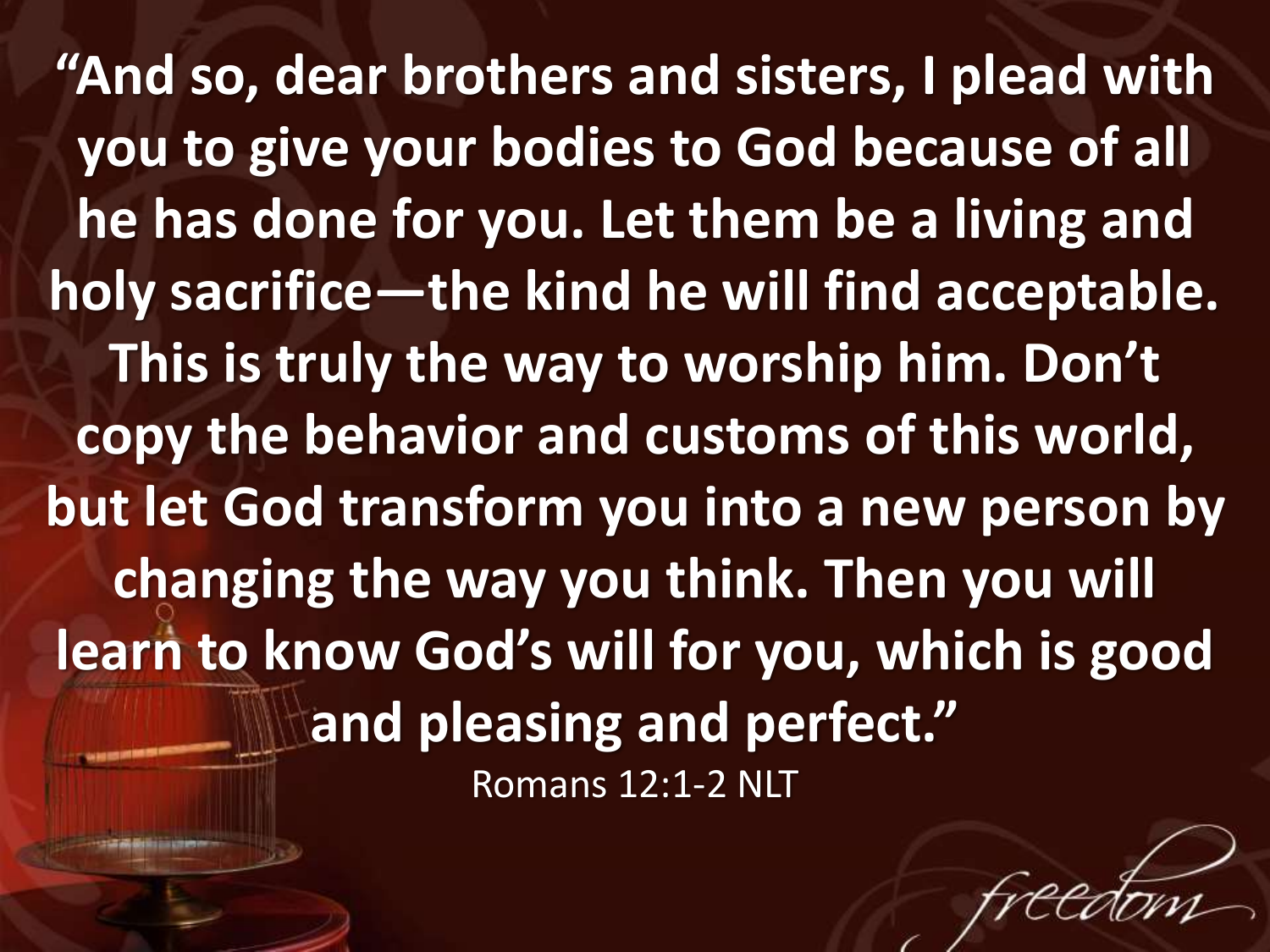**"And so, dear brothers and sisters, I plead with you to give your bodies to God because of all he has done for you. Let them be a living and holy sacrifice—the kind he will find acceptable. This is truly the way to worship him. Don't copy the behavior and customs of this world, but let God transform you into a new person by changing the way you think. Then you will learn to know God's will for you, which is good and pleasing and perfect."**  Romans 12:1-2 NLT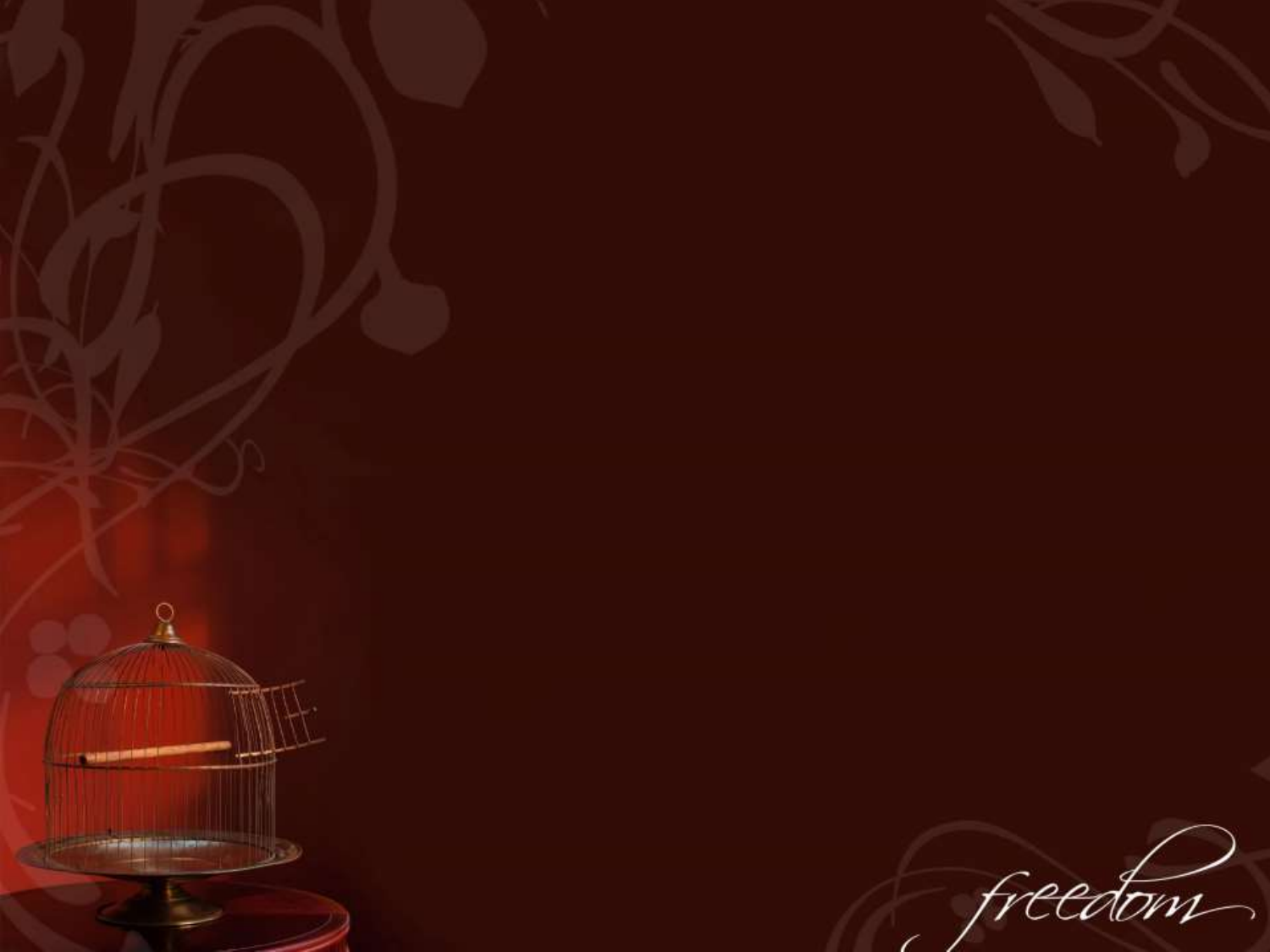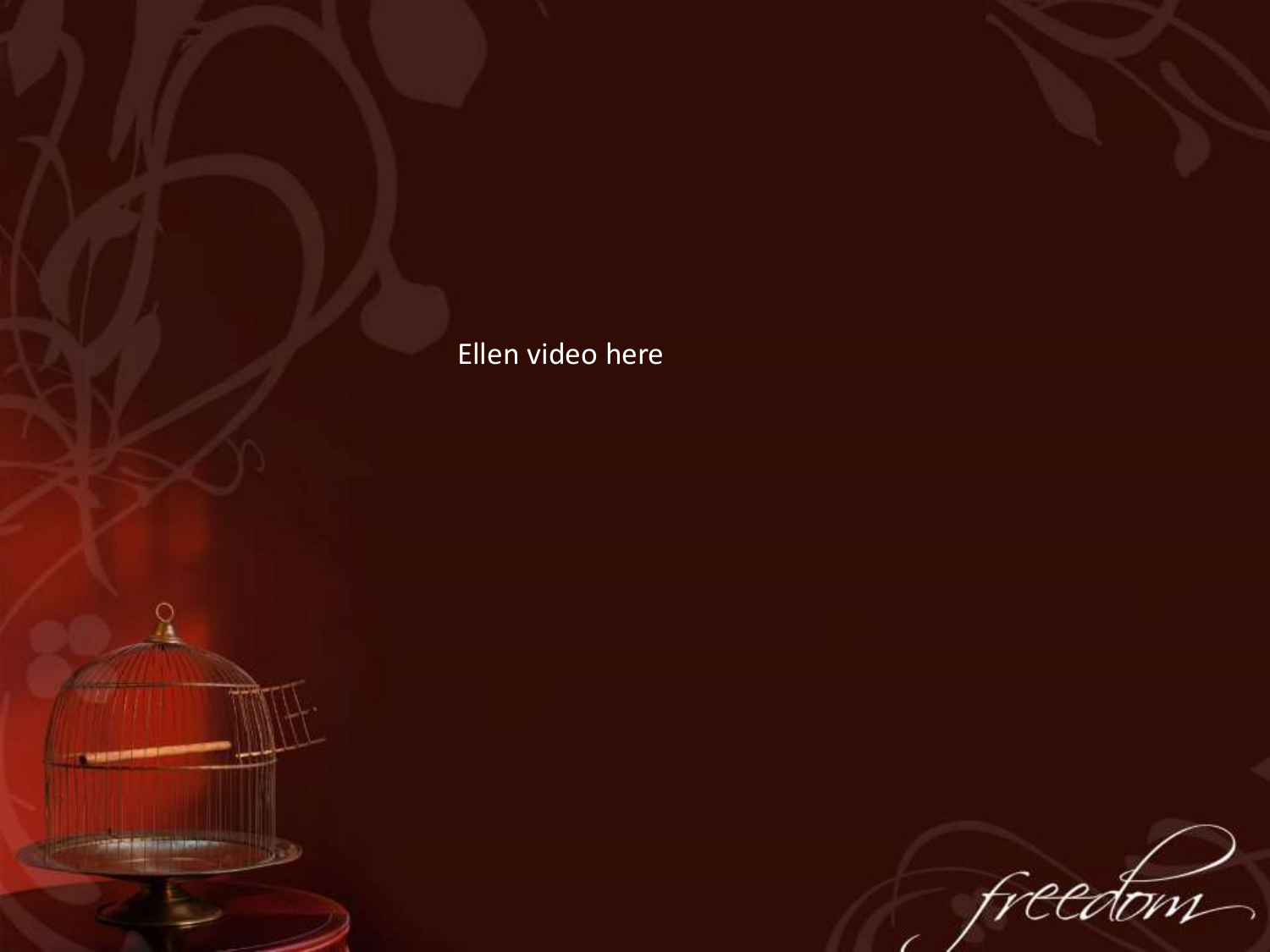## Ellen video here

**CARD RESIDENT** 

**コ語義義前語語書<del>の一</del>** 

freedom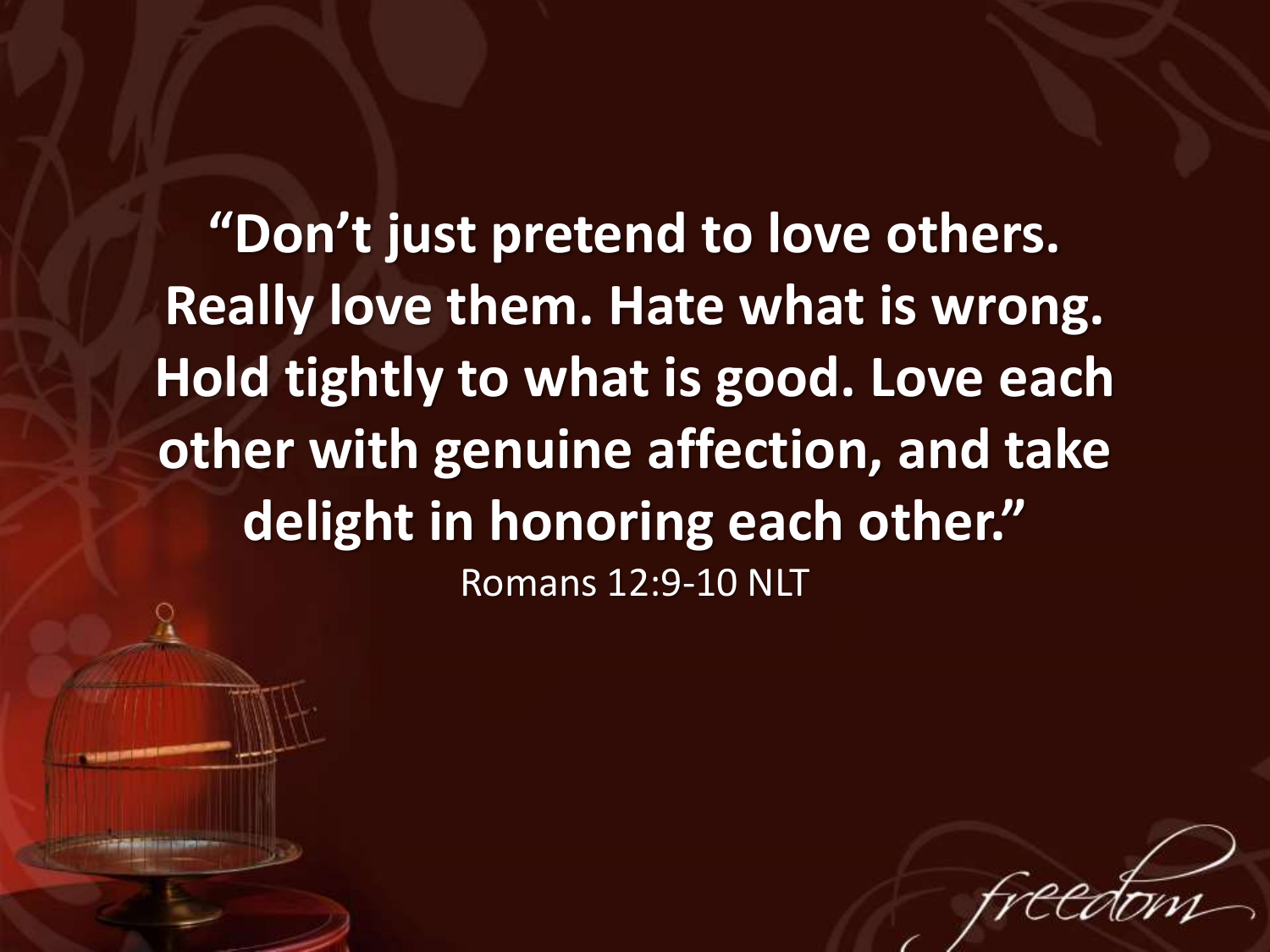**"Don't just pretend to love others. Really love them. Hate what is wrong. Hold tightly to what is good. Love each other with genuine affection, and take delight in honoring each other."** Romans 12:9-10 NLT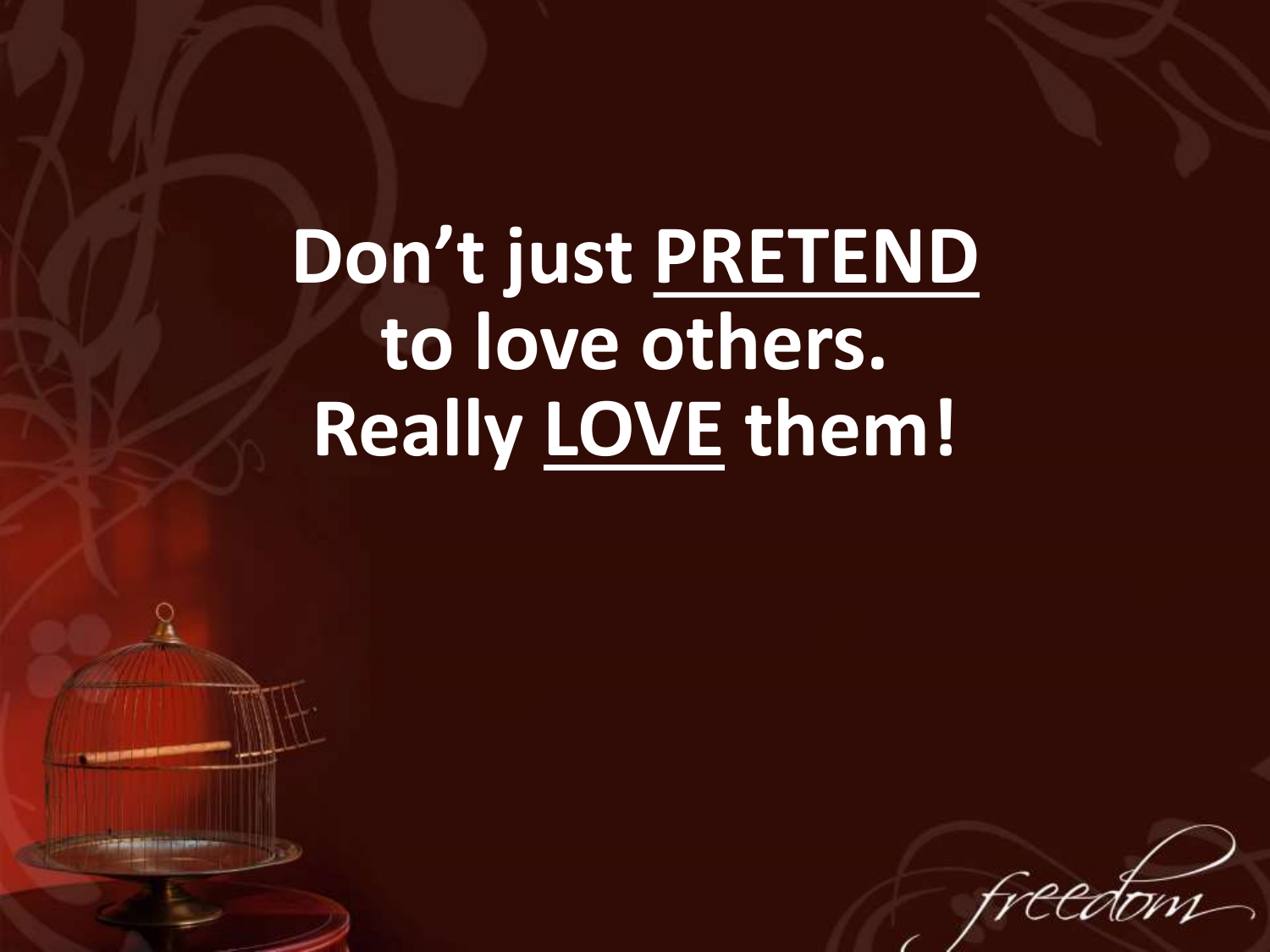**Don't just PRETEND to love others. Really LOVE them!**